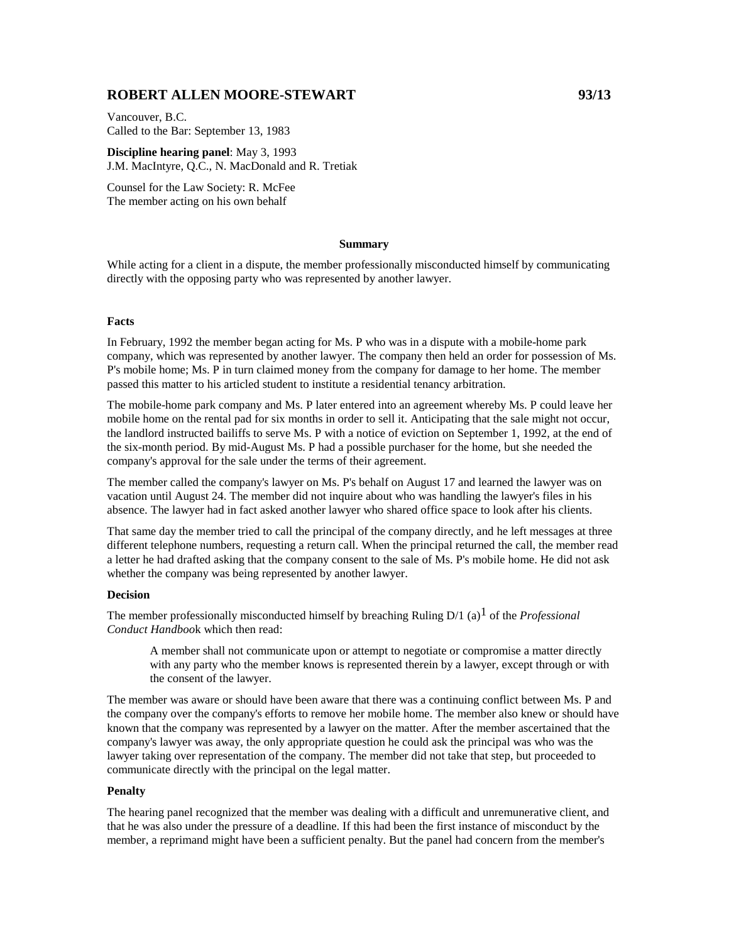# **ROBERT ALLEN MOORE-STEWART 93/13**

Vancouver, B.C. Called to the Bar: September 13, 1983

**Discipline hearing panel**: May 3, 1993 J.M. MacIntyre, Q.C., N. MacDonald and R. Tretiak

Counsel for the Law Society: R. McFee The member acting on his own behalf

#### **Summary**

While acting for a client in a dispute, the member professionally misconducted himself by communicating directly with the opposing party who was represented by another lawyer.

### **Facts**

In February, 1992 the member began acting for Ms. P who was in a dispute with a mobile-home park company, which was represented by another lawyer. The company then held an order for possession of Ms. P's mobile home; Ms. P in turn claimed money from the company for damage to her home. The member passed this matter to his articled student to institute a residential tenancy arbitration.

The mobile-home park company and Ms. P later entered into an agreement whereby Ms. P could leave her mobile home on the rental pad for six months in order to sell it. Anticipating that the sale might not occur, the landlord instructed bailiffs to serve Ms. P with a notice of eviction on September 1, 1992, at the end of the six-month period. By mid-August Ms. P had a possible purchaser for the home, but she needed the company's approval for the sale under the terms of their agreement.

The member called the company's lawyer on Ms. P's behalf on August 17 and learned the lawyer was on vacation until August 24. The member did not inquire about who was handling the lawyer's files in his absence. The lawyer had in fact asked another lawyer who shared office space to look after his clients.

That same day the member tried to call the principal of the company directly, and he left messages at three different telephone numbers, requesting a return call. When the principal returned the call, the member read a letter he had drafted asking that the company consent to the sale of Ms. P's mobile home. He did not ask whether the company was being represented by another lawyer.

#### **Decision**

The member professionally misconducted himself by breaching Ruling D/1 (a)1 of the *Professional Conduct Handboo*k which then read:

A member shall not communicate upon or attempt to negotiate or compromise a matter directly with any party who the member knows is represented therein by a lawyer, except through or with the consent of the lawyer.

The member was aware or should have been aware that there was a continuing conflict between Ms. P and the company over the company's efforts to remove her mobile home. The member also knew or should have known that the company was represented by a lawyer on the matter. After the member ascertained that the company's lawyer was away, the only appropriate question he could ask the principal was who was the lawyer taking over representation of the company. The member did not take that step, but proceeded to communicate directly with the principal on the legal matter.

## **Penalty**

The hearing panel recognized that the member was dealing with a difficult and unremunerative client, and that he was also under the pressure of a deadline. If this had been the first instance of misconduct by the member, a reprimand might have been a sufficient penalty. But the panel had concern from the member's